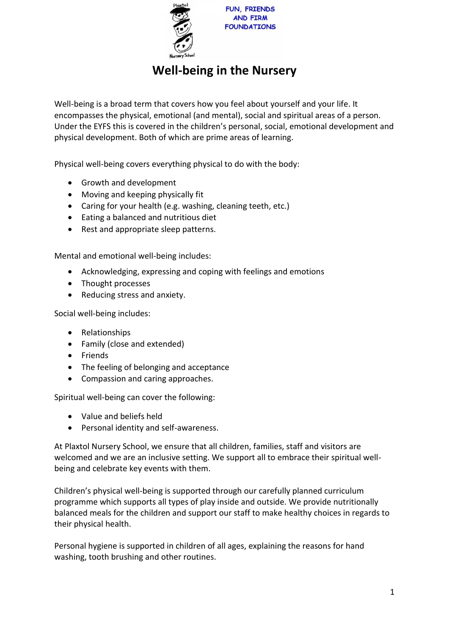

## **Well-being in the Nursery**

Well-being is a broad term that covers how you feel about yourself and your life. It encompasses the physical, emotional (and mental), social and spiritual areas of a person. Under the EYFS this is covered in the children's personal, social, emotional development and physical development. Both of which are prime areas of learning.

Physical well-being covers everything physical to do with the body:

- Growth and development
- Moving and keeping physically fit
- Caring for your health (e.g. washing, cleaning teeth, etc.)
- Eating a balanced and nutritious diet
- Rest and appropriate sleep patterns.

Mental and emotional well-being includes:

- Acknowledging, expressing and coping with feelings and emotions
- Thought processes
- Reducing stress and anxiety.

Social well-being includes:

- Relationships
- Family (close and extended)
- Friends
- The feeling of belonging and acceptance
- Compassion and caring approaches.

Spiritual well-being can cover the following:

- Value and beliefs held
- Personal identity and self-awareness.

At Plaxtol Nursery School, we ensure that all children, families, staff and visitors are welcomed and we are an inclusive setting. We support all to embrace their spiritual wellbeing and celebrate key events with them.

Children's physical well-being is supported through our carefully planned curriculum programme which supports all types of play inside and outside. We provide nutritionally balanced meals for the children and support our staff to make healthy choices in regards to their physical health.

Personal hygiene is supported in children of all ages, explaining the reasons for hand washing, tooth brushing and other routines.